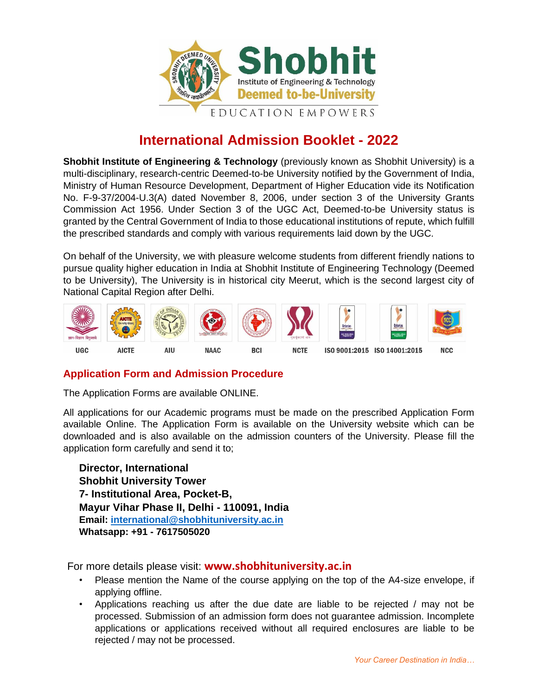

## **International Admission Booklet - 2022**

**Shobhit Institute of Engineering & Technology** (previously known as Shobhit University) is a multi-disciplinary, research-centric Deemed-to-be University notified by the Government of India, Ministry of Human Resource Development, Department of Higher Education vide its Notification No. F-9-37/2004-U.3(A) dated November 8, 2006, under section 3 of the University Grants Commission Act 1956. Under Section 3 of the UGC Act, Deemed-to-be University status is granted by the Central Government of India to those educational institutions of repute, which fulfill the prescribed standards and comply with various requirements laid down by the UGC.

On behalf of the University, we with pleasure welcome students from different friendly nations to pursue quality higher education in India at Shobhit Institute of Engineering Technology (Deemed to be University), The University is in historical city Meerut, which is the second largest city of National Capital Region after Delhi.



### **Application Form and Admission Procedure**

The Application Forms are available ONLINE.

All applications for our Academic programs must be made on the prescribed Application Form available Online. The Application Form is available on the University website which can be downloaded and is also available on the admission counters of the University. Please fill the application form carefully and send it to;

**Director, International Shobhit University Tower 7- Institutional Area, Pocket-B, Mayur Vihar Phase II, Delhi - 110091, India Email: [international@shobhituniversity.ac.in](mailto:international@shobhituniversity.ac.in) Whatsapp: +91 - 7617505020** 

For more details please visit: **[www.shobhituniversity.ac.in](http://www.shobhituniversity.ac.in/)**

- Please mention the Name of the course applying on the top of the A4-size envelope, if applying offline.
- Applications reaching us after the due date are liable to be rejected / may not be processed. Submission of an admission form does not guarantee admission. Incomplete applications or applications received without all required enclosures are liable to be rejected / may not be processed.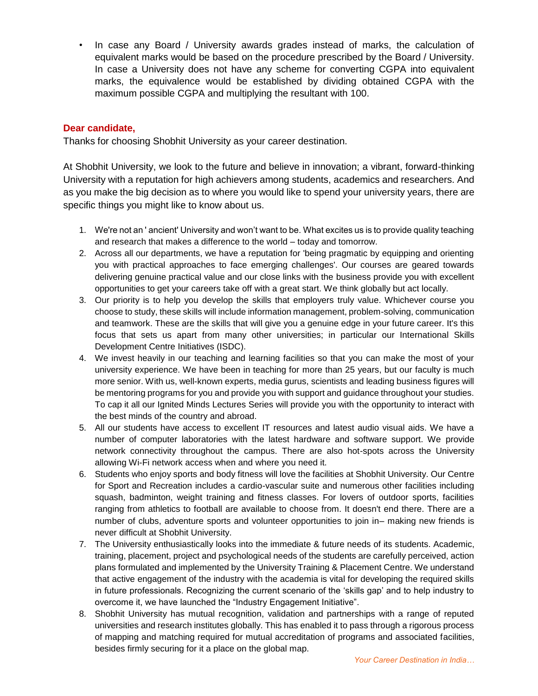• In case any Board / University awards grades instead of marks, the calculation of equivalent marks would be based on the procedure prescribed by the Board / University. In case a University does not have any scheme for converting CGPA into equivalent marks, the equivalence would be established by dividing obtained CGPA with the maximum possible CGPA and multiplying the resultant with 100.

### **Dear candidate,**

Thanks for choosing Shobhit University as your career destination.

At Shobhit University, we look to the future and believe in innovation; a vibrant, forward-thinking University with a reputation for high achievers among students, academics and researchers. And as you make the big decision as to where you would like to spend your university years, there are specific things you might like to know about us.

- 1. We're not an ' ancient' University and won't want to be. What excites us is to provide quality teaching and research that makes a difference to the world – today and tomorrow.
- 2. Across all our departments, we have a reputation for 'being pragmatic by equipping and orienting you with practical approaches to face emerging challenges'. Our courses are geared towards delivering genuine practical value and our close links with the business provide you with excellent opportunities to get your careers take off with a great start. We think globally but act locally.
- 3. Our priority is to help you develop the skills that employers truly value. Whichever course you choose to study, these skills will include information management, problem-solving, communication and teamwork. These are the skills that will give you a genuine edge in your future career. It's this focus that sets us apart from many other universities; in particular our International Skills Development Centre Initiatives (ISDC).
- 4. We invest heavily in our teaching and learning facilities so that you can make the most of your university experience. We have been in teaching for more than 25 years, but our faculty is much more senior. With us, well-known experts, media gurus, scientists and leading business figures will be mentoring programs for you and provide you with support and guidance throughout your studies. To cap it all our Ignited Minds Lectures Series will provide you with the opportunity to interact with the best minds of the country and abroad.
- 5. All our students have access to excellent IT resources and latest audio visual aids. We have a number of computer laboratories with the latest hardware and software support. We provide network connectivity throughout the campus. There are also hot-spots across the University allowing Wi-Fi network access when and where you need it.
- 6. Students who enjoy sports and body fitness will love the facilities at Shobhit University. Our Centre for Sport and Recreation includes a cardio-vascular suite and numerous other facilities including squash, badminton, weight training and fitness classes. For lovers of outdoor sports, facilities ranging from athletics to football are available to choose from. It doesn't end there. There are a number of clubs, adventure sports and volunteer opportunities to join in– making new friends is never difficult at Shobhit University.
- 7. The University enthusiastically looks into the immediate & future needs of its students. Academic, training, placement, project and psychological needs of the students are carefully perceived, action plans formulated and implemented by the University Training & Placement Centre. We understand that active engagement of the industry with the academia is vital for developing the required skills in future professionals. Recognizing the current scenario of the 'skills gap' and to help industry to overcome it, we have launched the "Industry Engagement Initiative".
- 8. Shobhit University has mutual recognition, validation and partnerships with a range of reputed universities and research institutes globally. This has enabled it to pass through a rigorous process of mapping and matching required for mutual accreditation of programs and associated facilities, besides firmly securing for it a place on the global map.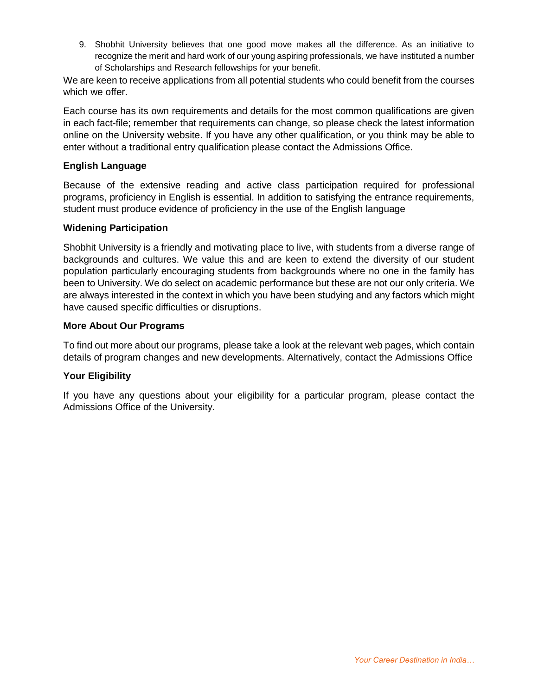9. Shobhit University believes that one good move makes all the difference. As an initiative to recognize the merit and hard work of our young aspiring professionals, we have instituted a number of Scholarships and Research fellowships for your benefit.

We are keen to receive applications from all potential students who could benefit from the courses which we offer.

Each course has its own requirements and details for the most common qualifications are given in each fact-file; remember that requirements can change, so please check the latest information online on the University website. If you have any other qualification, or you think may be able to enter without a traditional entry qualification please contact the Admissions Office.

### **English Language**

Because of the extensive reading and active class participation required for professional programs, proficiency in English is essential. In addition to satisfying the entrance requirements, student must produce evidence of proficiency in the use of the English language

### **Widening Participation**

Shobhit University is a friendly and motivating place to live, with students from a diverse range of backgrounds and cultures. We value this and are keen to extend the diversity of our student population particularly encouraging students from backgrounds where no one in the family has been to University. We do select on academic performance but these are not our only criteria. We are always interested in the context in which you have been studying and any factors which might have caused specific difficulties or disruptions.

### **More About Our Programs**

To find out more about our programs, please take a look at the relevant web pages, which contain details of program changes and new developments. Alternatively, contact the Admissions Office

### **Your Eligibility**

If you have any questions about your eligibility for a particular program, please contact the Admissions Office of the University.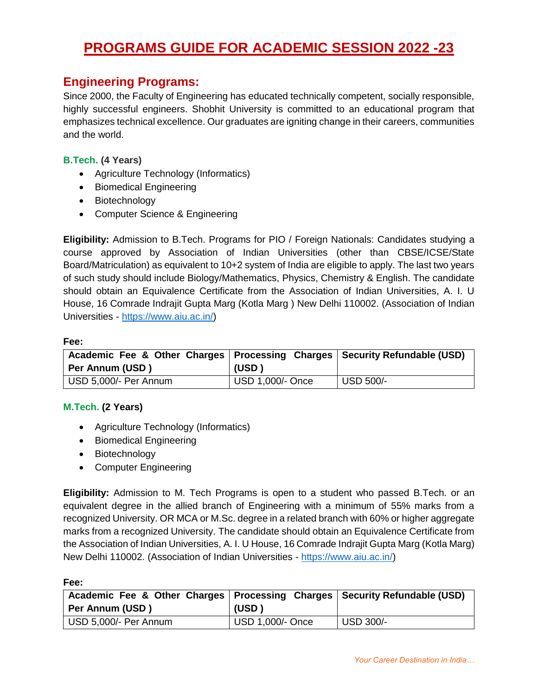# **PROGRAMS GUIDE FOR ACADEMIC SESSION 2022 -23**

### **Engineering Programs:**

Since 2000, the Faculty of Engineering has educated technically competent, socially responsible, highly successful engineers. Shobhit University is committed to an educational program that emphasizes technical excellence. Our graduates are igniting change in their careers, communities and the world.

### **B.Tech. (4 Years)**

- Agriculture Technology (Informatics)
- Biomedical Engineering
- Biotechnology
- Computer Science & Engineering

**Eligibility:** Admission to B.Tech. Programs for PIO / Foreign Nationals: Candidates studying a course approved by Association of Indian Universities (other than CBSE/ICSE/State Board/Matriculation) as equivalent to 10+2 system of India are eligible to apply. The last two years of such study should include Biology/Mathematics, Physics, Chemistry & English. The candidate should obtain an Equivalence Certificate from the Association of Indian Universities, A. I. U House, 16 Comrade Indrajit Gupta Marg (Kotla Marg ) New Delhi 110002. (Association of Indian Universities - [https://www.aiu.ac.in/\)](https://www.aiu.ac.in/)

#### **Fee:**

| Academic Fee & Other Charges   Processing Charges   Security Refundable (USD)<br>Per Annum (USD) | (USD)            |           |
|--------------------------------------------------------------------------------------------------|------------------|-----------|
| USD 5,000/- Per Annum                                                                            | USD 1,000/- Once | USD 500/- |

### **M.Tech. (2 Years)**

- Agriculture Technology (Informatics)
- **•** Biomedical Engineering
- Biotechnology
- Computer Engineering

**Eligibility:** Admission to M. Tech Programs is open to a student who passed B.Tech. or an equivalent degree in the allied branch of Engineering with a minimum of 55% marks from a recognized University. OR MCA or M.Sc. degree in a related branch with 60% or higher aggregate marks from a recognized University. The candidate should obtain an Equivalence Certificate from the Association of Indian Universities, A. I. U House, 16 Comrade Indrajit Gupta Marg (Kotla Marg) New Delhi 110002. (Association of Indian Universities - [https://www.aiu.ac.in/\)](https://www.aiu.ac.in/)

| Academic Fee & Other Charges   Processing Charges   Security Refundable (USD)<br>Per Annum (USD) | (USD)            |           |
|--------------------------------------------------------------------------------------------------|------------------|-----------|
| USD 5,000/- Per Annum                                                                            | USD 1,000/- Once | USD 300/- |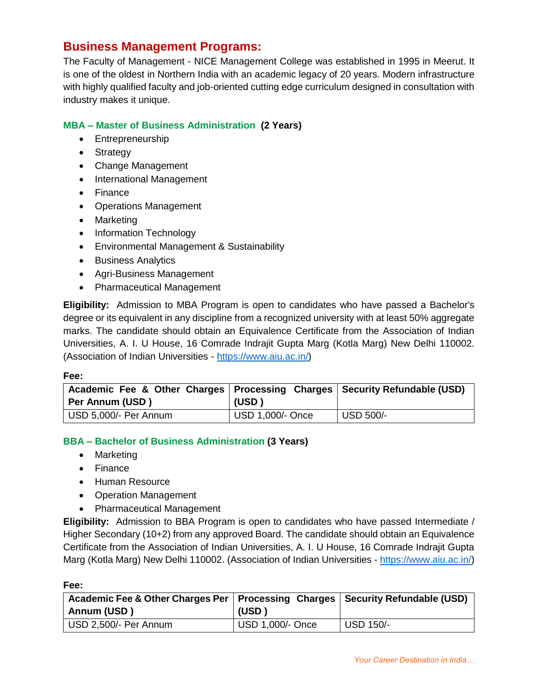### **Business Management Programs:**

The Faculty of Management - NICE Management College was established in 1995 in Meerut. It is one of the oldest in Northern India with an academic legacy of 20 years. Modern infrastructure with highly qualified faculty and job-oriented cutting edge curriculum designed in consultation with industry makes it unique.

### **MBA – Master of Business Administration (2 Years)**

- Entrepreneurship
- Strategy
- Change Management
- International Management
- Finance
- Operations Management
- Marketing
- Information Technology
- Environmental Management & Sustainability
- Business Analytics
- Agri-Business Management
- Pharmaceutical Management

**Eligibility:** Admission to MBA Program is open to candidates who have passed a Bachelor's degree or its equivalent in any discipline from a recognized university with at least 50% aggregate marks. The candidate should obtain an Equivalence Certificate from the Association of Indian Universities, A. I. U House, 16 Comrade Indrajit Gupta Marg (Kotla Marg) New Delhi 110002. (Association of Indian Universities - [https://www.aiu.ac.in/\)](https://www.aiu.ac.in/)

#### **Fee:**

**Fee:**

| Academic Fee & Other Charges   Processing Charges   Security Refundable (USD)<br>Per Annum (USD) | (USD)            |                       |
|--------------------------------------------------------------------------------------------------|------------------|-----------------------|
| USD 5,000/- Per Annum                                                                            | USD 1,000/- Once | $^{\prime}$ USD 500/- |

### **BBA – Bachelor of Business Administration (3 Years)**

- Marketing
- Finance
- Human Resource
- Operation Management
- Pharmaceutical Management

**Eligibility:** Admission to BBA Program is open to candidates who have passed Intermediate / Higher Secondary (10+2) from any approved Board. The candidate should obtain an Equivalence Certificate from the Association of Indian Universities, A. I. U House, 16 Comrade Indrajit Gupta Marg (Kotla Marg) New Delhi 110002. (Association of Indian Universities - [https://www.aiu.ac.in/\)](https://www.aiu.ac.in/)

| Academic Fee & Other Charges Per   Processing Charges   Security Refundable (USD)<br>Annum (USD) | (USD '           |                  |
|--------------------------------------------------------------------------------------------------|------------------|------------------|
| USD 2,500/- Per Annum                                                                            | USD 1,000/- Once | <b>USD 150/-</b> |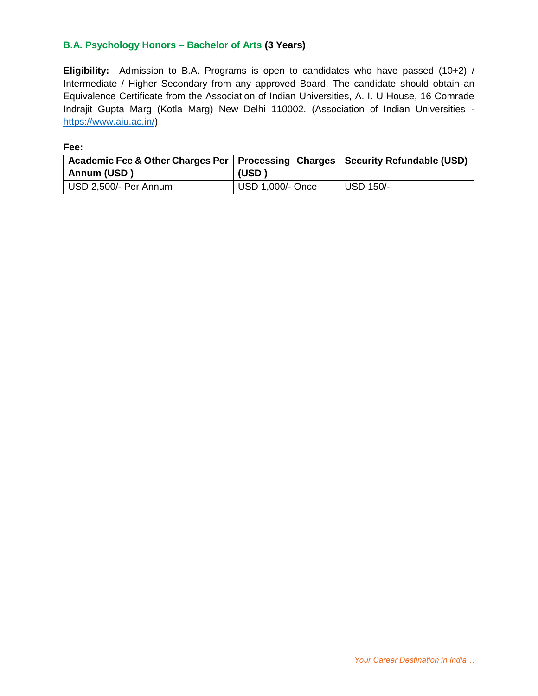### **B.A. Psychology Honors – Bachelor of Arts (3 Years)**

**Eligibility:** Admission to B.A. Programs is open to candidates who have passed (10+2) / Intermediate / Higher Secondary from any approved Board. The candidate should obtain an Equivalence Certificate from the Association of Indian Universities, A. I. U House, 16 Comrade Indrajit Gupta Marg (Kotla Marg) New Delhi 110002. (Association of Indian Universities [https://www.aiu.ac.in/\)](https://www.aiu.ac.in/)

| Academic Fee & Other Charges Per   Processing Charges   Security Refundable (USD) |                  |                  |
|-----------------------------------------------------------------------------------|------------------|------------------|
| Annum (USD)                                                                       | (USD)            |                  |
| USD 2,500/- Per Annum                                                             | USD 1,000/- Once | <b>USD 150/-</b> |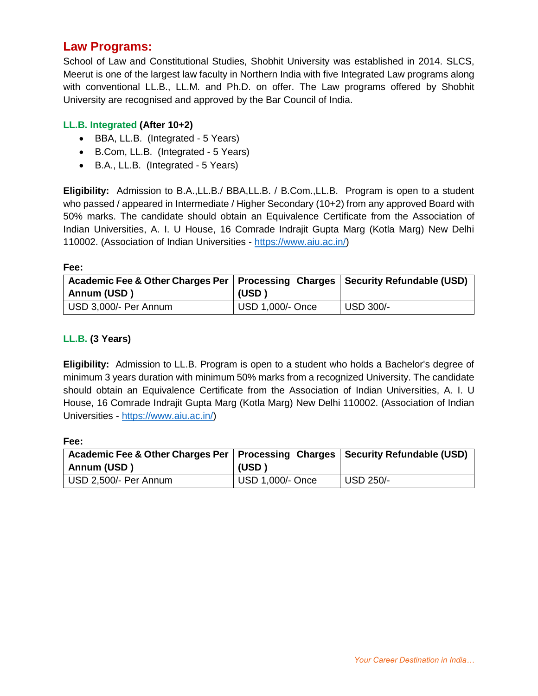### **Law Programs:**

School of Law and Constitutional Studies, Shobhit University was established in 2014. SLCS, Meerut is one of the largest law faculty in Northern India with five Integrated Law programs along with conventional LL.B., LL.M. and Ph.D. on offer. The Law programs offered by Shobhit University are recognised and approved by the Bar Council of India.

### **LL.B. Integrated (After 10+2)**

- BBA, LL.B. (Integrated 5 Years)
- B.Com, LL.B. (Integrated 5 Years)
- B.A., LL.B. (Integrated 5 Years)

**Eligibility:** Admission to B.A.,LL.B./ BBA,LL.B. / B.Com.,LL.B. Program is open to a student who passed / appeared in Intermediate / Higher Secondary (10+2) from any approved Board with 50% marks. The candidate should obtain an Equivalence Certificate from the Association of Indian Universities, A. I. U House, 16 Comrade Indrajit Gupta Marg (Kotla Marg) New Delhi 110002. (Association of Indian Universities - [https://www.aiu.ac.in/\)](https://www.aiu.ac.in/)

**Fee:**

| Academic Fee & Other Charges Per   Processing Charges   Security Refundable (USD)<br>Annum (USD) | (USD)            |           |
|--------------------------------------------------------------------------------------------------|------------------|-----------|
| USD 3,000/- Per Annum                                                                            | USD 1,000/- Once | USD 300/- |

### **LL.B. (3 Years)**

**Eligibility:** Admission to LL.B. Program is open to a student who holds a Bachelor's degree of minimum 3 years duration with minimum 50% marks from a recognized University. The candidate should obtain an Equivalence Certificate from the Association of Indian Universities, A. I. U House, 16 Comrade Indrajit Gupta Marg (Kotla Marg) New Delhi 110002. (Association of Indian Universities - [https://www.aiu.ac.in/\)](https://www.aiu.ac.in/)

| Academic Fee & Other Charges Per   Processing Charges   Security Refundable (USD) |                  |                  |
|-----------------------------------------------------------------------------------|------------------|------------------|
| Annum (USD)                                                                       | (USD)            |                  |
| USD 2,500/- Per Annum                                                             | USD 1,000/- Once | <b>USD 250/-</b> |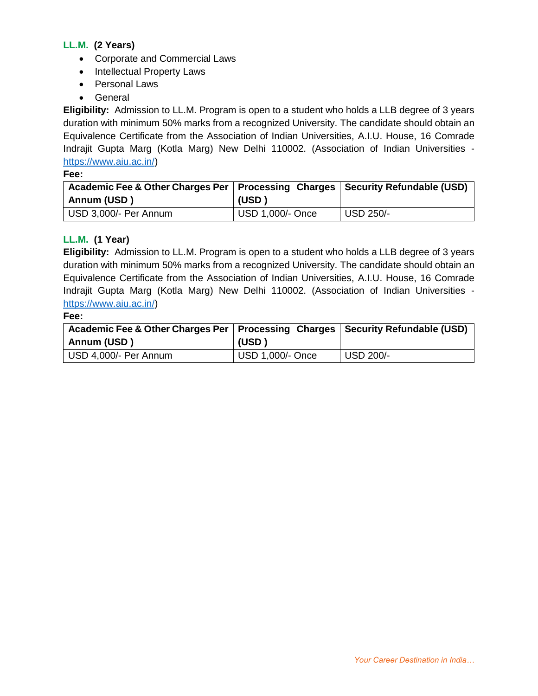### **LL.M. (2 Years)**

- Corporate and Commercial Laws
- Intellectual Property Laws
- Personal Laws
- General

**Eligibility:** Admission to LL.M. Program is open to a student who holds a LLB degree of 3 years duration with minimum 50% marks from a recognized University. The candidate should obtain an Equivalence Certificate from the Association of Indian Universities, A.I.U. House, 16 Comrade Indrajit Gupta Marg (Kotla Marg) New Delhi 110002. (Association of Indian Universities [https://www.aiu.ac.in/\)](https://www.aiu.ac.in/)

**Fee:**

| Academic Fee & Other Charges Per   Processing Charges   Security Refundable (USD) |                  |                  |
|-----------------------------------------------------------------------------------|------------------|------------------|
| Annum (USD)                                                                       | (USD)            |                  |
| USD 3,000/- Per Annum                                                             | USD 1,000/- Once | <b>USD 250/-</b> |

### **LL.M. (1 Year)**

**Eligibility:** Admission to LL.M. Program is open to a student who holds a LLB degree of 3 years duration with minimum 50% marks from a recognized University. The candidate should obtain an Equivalence Certificate from the Association of Indian Universities, A.I.U. House, 16 Comrade Indrajit Gupta Marg (Kotla Marg) New Delhi 110002. (Association of Indian Universities [https://www.aiu.ac.in/\)](https://www.aiu.ac.in/)

| I<br>× | ۰.<br>×<br>۰. |  |
|--------|---------------|--|

| Academic Fee & Other Charges Per   Processing Charges   Security Refundable (USD) |                  |                  |
|-----------------------------------------------------------------------------------|------------------|------------------|
| Annum (USD)                                                                       | (USD)            |                  |
| USD 4,000/- Per Annum                                                             | USD 1,000/- Once | <b>USD 200/-</b> |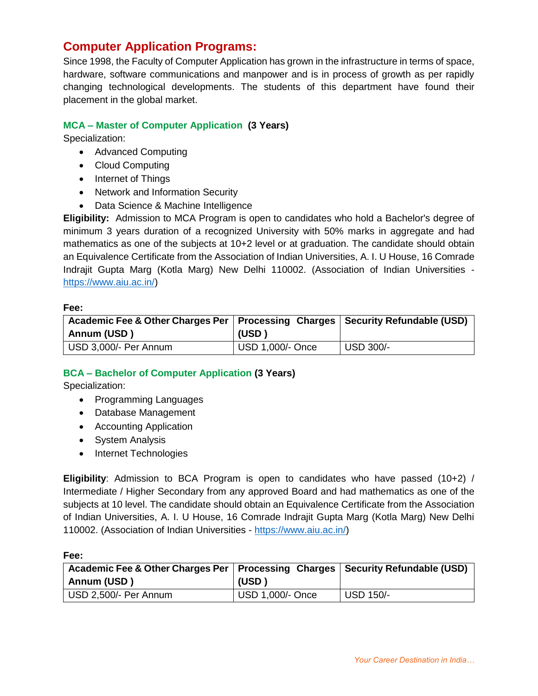### **Computer Application Programs:**

Since 1998, the Faculty of Computer Application has grown in the infrastructure in terms of space, hardware, software communications and manpower and is in process of growth as per rapidly changing technological developments. The students of this department have found their placement in the global market.

### **MCA – Master of Computer Application (3 Years)**

Specialization:

- Advanced Computing
- Cloud Computing
- Internet of Things
- Network and Information Security
- Data Science & Machine Intelligence

**Eligibility:** Admission to MCA Program is open to candidates who hold a Bachelor's degree of minimum 3 years duration of a recognized University with 50% marks in aggregate and had mathematics as one of the subjects at 10+2 level or at graduation. The candidate should obtain an Equivalence Certificate from the Association of Indian Universities, A. I. U House, 16 Comrade Indrajit Gupta Marg (Kotla Marg) New Delhi 110002. (Association of Indian Universities [https://www.aiu.ac.in/\)](https://www.aiu.ac.in/)

#### **Fee:**

| Academic Fee & Other Charges Per   Processing Charges   Security Refundable (USD)<br>Annum (USD) | (USD)            |                        |
|--------------------------------------------------------------------------------------------------|------------------|------------------------|
| USD 3,000/- Per Annum                                                                            | USD 1,000/- Once | $\overline{USD}$ 300/- |

### **BCA – Bachelor of Computer Application (3 Years)**

Specialization:

- Programming Languages
- Database Management
- Accounting Application
- System Analysis
- Internet Technologies

**Eligibility**: Admission to BCA Program is open to candidates who have passed (10+2) / Intermediate / Higher Secondary from any approved Board and had mathematics as one of the subjects at 10 level. The candidate should obtain an Equivalence Certificate from the Association of Indian Universities, A. I. U House, 16 Comrade Indrajit Gupta Marg (Kotla Marg) New Delhi 110002. (Association of Indian Universities - [https://www.aiu.ac.in/\)](https://www.aiu.ac.in/)

| Academic Fee & Other Charges Per   Processing Charges   Security Refundable (USD) |                  |           |
|-----------------------------------------------------------------------------------|------------------|-----------|
| Annum (USD)                                                                       | (USD '           |           |
| USD 2,500/- Per Annum                                                             | USD 1,000/- Once | USD 150/- |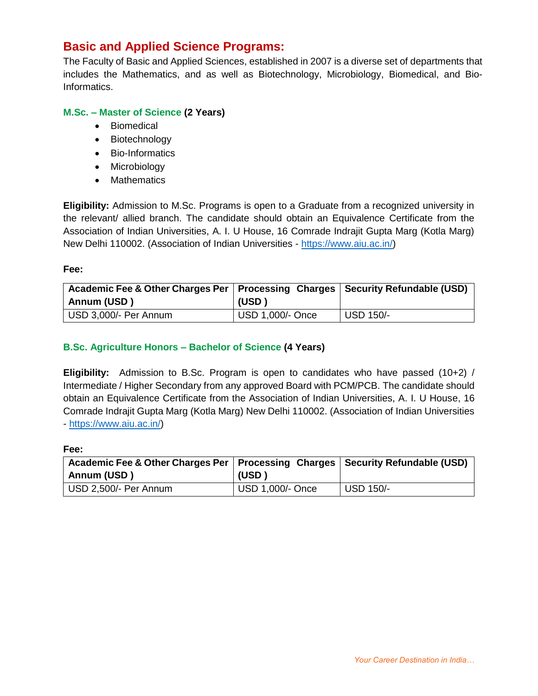### **Basic and Applied Science Programs:**

The Faculty of Basic and Applied Sciences, established in 2007 is a diverse set of departments that includes the Mathematics, and as well as Biotechnology, Microbiology, Biomedical, and Bio-Informatics.

### **M.Sc. – Master of Science (2 Years)**

- Biomedical
- Biotechnology
- Bio-Informatics
- Microbiology
- Mathematics

**Eligibility:** Admission to M.Sc. Programs is open to a Graduate from a recognized university in the relevant/ allied branch. The candidate should obtain an Equivalence Certificate from the Association of Indian Universities, A. I. U House, 16 Comrade Indrajit Gupta Marg (Kotla Marg) New Delhi 110002. (Association of Indian Universities - [https://www.aiu.ac.in/\)](https://www.aiu.ac.in/)

#### **Fee:**

| Academic Fee & Other Charges Per   Processing Charges   Security Refundable (USD) |                  |                  |
|-----------------------------------------------------------------------------------|------------------|------------------|
| Annum (USD)                                                                       | (USD)            |                  |
| USD 3,000/- Per Annum                                                             | USD 1,000/- Once | <b>USD 150/-</b> |

### **B.Sc. Agriculture Honors – Bachelor of Science (4 Years)**

**Eligibility:** Admission to B.Sc. Program is open to candidates who have passed (10+2) / Intermediate / Higher Secondary from any approved Board with PCM/PCB. The candidate should obtain an Equivalence Certificate from the Association of Indian Universities, A. I. U House, 16 Comrade Indrajit Gupta Marg (Kotla Marg) New Delhi 110002. (Association of Indian Universities - [https://www.aiu.ac.in/\)](https://www.aiu.ac.in/)

| Academic Fee & Other Charges Per   Processing Charges   Security Refundable (USD) |                  |                  |
|-----------------------------------------------------------------------------------|------------------|------------------|
| Annum (USD)                                                                       | (USD)            |                  |
| USD 2,500/- Per Annum                                                             | USD 1,000/- Once | <b>USD 150/-</b> |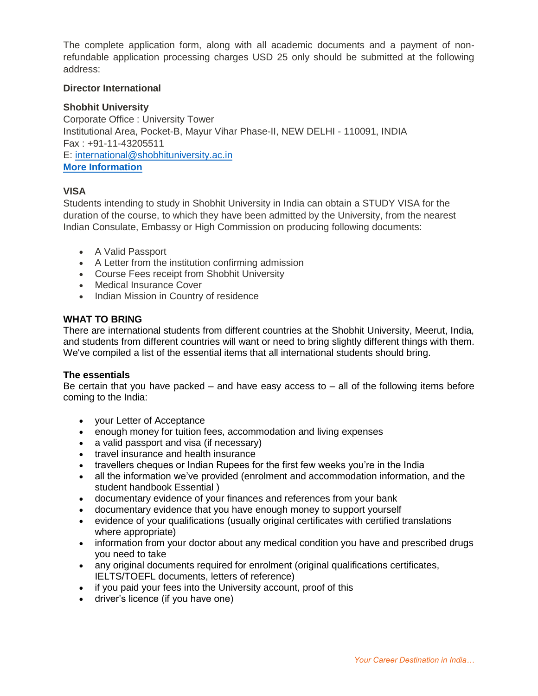The complete application form, along with all academic documents and a payment of nonrefundable application processing charges USD 25 only should be submitted at the following address:

#### **Director International**

### **Shobhit University**

Corporate Office : University Tower Institutional Area, Pocket-B, Mayur Vihar Phase-II, NEW DELHI - 110091, INDIA Fax : +91-11-43205511 E: [international@shobhituniversity.ac.in](mailto:international@shobhituniversity.ac.in) **[More Information](http://inovas.in/international/)**

### **VISA**

Students intending to study in Shobhit University in India can obtain a STUDY VISA for the duration of the course, to which they have been admitted by the University, from the nearest Indian Consulate, Embassy or High Commission on producing following documents:

- A Valid Passport
- A Letter from the institution confirming admission
- Course Fees receipt from Shobhit University
- Medical Insurance Cover
- Indian Mission in Country of residence

#### **WHAT TO BRING**

There are international students from different countries at the Shobhit University, Meerut, India, and students from different countries will want or need to bring slightly different things with them. We've compiled a list of the essential items that all international students should bring.

#### **The essentials**

Be certain that you have packed  $-$  and have easy access to  $-$  all of the following items before coming to the India:

- your Letter of Acceptance
- enough money for tuition fees, accommodation and living expenses
- a valid passport and visa (if necessary)
- travel insurance and health insurance
- travellers cheques or Indian Rupees for the first few weeks you're in the India
- all the information we've provided (enrolment and accommodation information, and the student handbook Essential )
- documentary evidence of your finances and references from your bank
- documentary evidence that you have enough money to support yourself
- evidence of your qualifications (usually original certificates with certified translations where appropriate)
- information from your doctor about any medical condition you have and prescribed drugs you need to take
- any original documents required for enrolment (original qualifications certificates, IELTS/TOEFL documents, letters of reference)
- if you paid your fees into the University account, proof of this
- driver's licence (if you have one)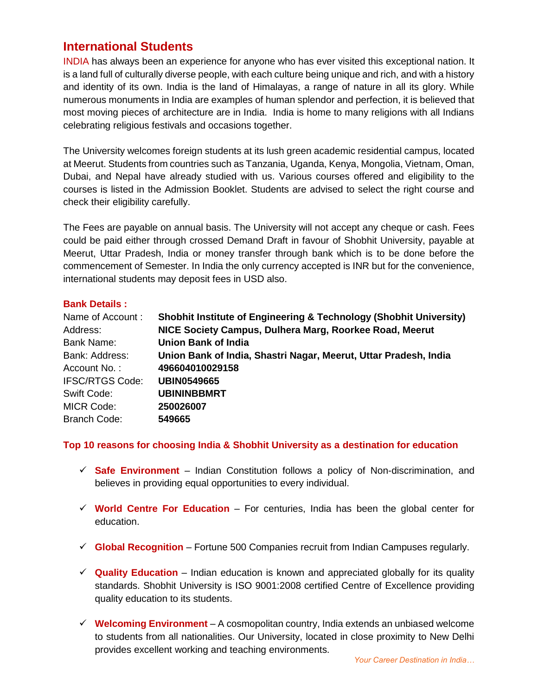### **International Students**

INDIA has always been an experience for anyone who has ever visited this exceptional nation. It is a land full of culturally diverse people, with each culture being unique and rich, and with a history and identity of its own. India is the land of Himalayas, a range of nature in all its glory. While numerous monuments in India are examples of human splendor and perfection, it is believed that most moving pieces of architecture are in India. India is home to many religions with all Indians celebrating religious festivals and occasions together.

The University welcomes foreign students at its lush green academic residential campus, located at Meerut. Students from countries such as Tanzania, Uganda, Kenya, Mongolia, Vietnam, Oman, Dubai, and Nepal have already studied with us. Various courses offered and eligibility to the courses is listed in the Admission Booklet. Students are advised to select the right course and check their eligibility carefully.

The Fees are payable on annual basis. The University will not accept any cheque or cash. Fees could be paid either through crossed Demand Draft in favour of Shobhit University, payable at Meerut, Uttar Pradesh, India or money transfer through bank which is to be done before the commencement of Semester. In India the only currency accepted is INR but for the convenience, international students may deposit fees in USD also.

### **Bank Details :**

| Name of Account:       | <b>Shobhit Institute of Engineering &amp; Technology (Shobhit University)</b> |  |  |
|------------------------|-------------------------------------------------------------------------------|--|--|
| Address:               | NICE Society Campus, Dulhera Marg, Roorkee Road, Meerut                       |  |  |
| <b>Bank Name:</b>      | <b>Union Bank of India</b>                                                    |  |  |
| Bank: Address:         | Union Bank of India, Shastri Nagar, Meerut, Uttar Pradesh, India              |  |  |
| Account No.:           | 496604010029158                                                               |  |  |
| <b>IFSC/RTGS Code:</b> | <b>UBIN0549665</b>                                                            |  |  |
| Swift Code:            | <b>UBININBBMRT</b>                                                            |  |  |
| <b>MICR Code:</b>      | 250026007                                                                     |  |  |
| <b>Branch Code:</b>    | 549665                                                                        |  |  |

### **Top 10 reasons for choosing India & Shobhit University as a destination for education**

- $\checkmark$  Safe Environment Indian Constitution follows a policy of Non-discrimination, and believes in providing equal opportunities to every individual.
- $\checkmark$  World Centre For Education For centuries, India has been the global center for education.
- **Global Recognition** Fortune 500 Companies recruit from Indian Campuses regularly.
- $\checkmark$  **Quality Education** Indian education is known and appreciated globally for its quality standards. Shobhit University is ISO 9001:2008 certified Centre of Excellence providing quality education to its students.
- **Welcoming Environment** A cosmopolitan country, India extends an unbiased welcome to students from all nationalities. Our University, located in close proximity to New Delhi provides excellent working and teaching environments.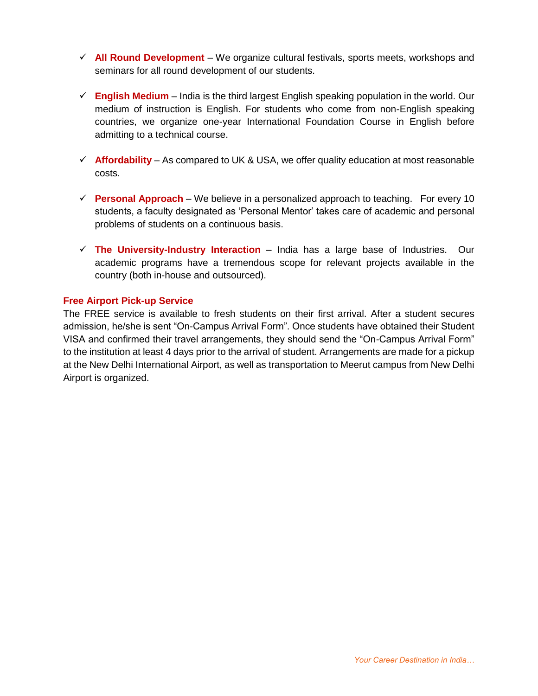- **All Round Development** We organize cultural festivals, sports meets, workshops and seminars for all round development of our students.
- $\checkmark$  English Medium India is the third largest English speaking population in the world. Our medium of instruction is English. For students who come from non-English speaking countries, we organize one-year International Foundation Course in English before admitting to a technical course.
- $\checkmark$  **Affordability** As compared to UK & USA, we offer quality education at most reasonable costs.
- **Personal Approach** We believe in a personalized approach to teaching. For every 10 students, a faculty designated as 'Personal Mentor' takes care of academic and personal problems of students on a continuous basis.
- **The University-Industry Interaction** India has a large base of Industries. Our academic programs have a tremendous scope for relevant projects available in the country (both in-house and outsourced).

### **Free Airport Pick-up Service**

The FREE service is available to fresh students on their first arrival. After a student secures admission, he/she is sent "On-Campus Arrival Form". Once students have obtained their Student VISA and confirmed their travel arrangements, they should send the "On-Campus Arrival Form" to the institution at least 4 days prior to the arrival of student. Arrangements are made for a pickup at the New Delhi International Airport, as well as transportation to Meerut campus from New Delhi Airport is organized.